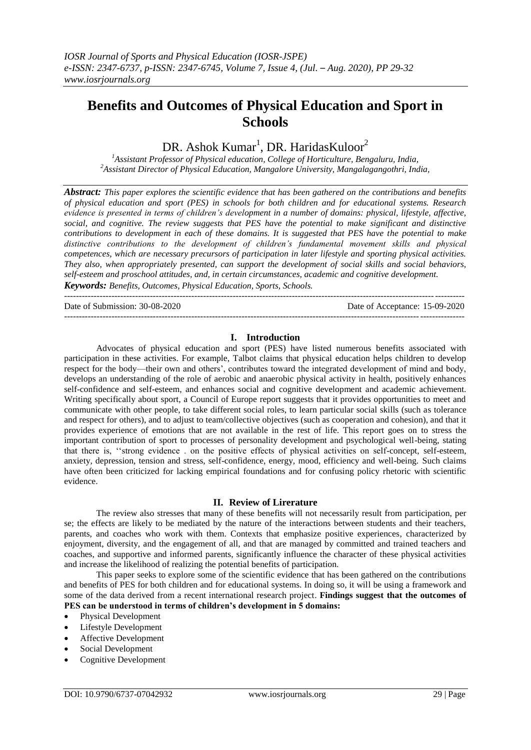# **Benefits and Outcomes of Physical Education and Sport in Schools**

## DR. Ashok Kumar<sup>1</sup>, DR. HaridasKuloor<sup>2</sup>

*<sup>1</sup>Assistant Professor of Physical education, College of Horticulture, Bengaluru, India, <sup>2</sup>Assistant Director of Physical Education, Mangalore University, Mangalagangothri, India,*

*Abstract: This paper explores the scientific evidence that has been gathered on the contributions and benefits of physical education and sport (PES) in schools for both children and for educational systems. Research evidence is presented in terms of children's development in a number of domains: physical, lifestyle, affective, social, and cognitive. The review suggests that PES have the potential to make significant and distinctive contributions to development in each of these domains. It is suggested that PES have the potential to make distinctive contributions to the development of children's fundamental movement skills and physical competences, which are necessary precursors of participation in later lifestyle and sporting physical activities. They also, when appropriately presented, can support the development of social skills and social behaviors, self-esteem and proschool attitudes, and, in certain circumstances, academic and cognitive development. Keywords: Benefits, Outcomes, Physical Education, Sports, Schools.*

Date of Submission: 30-08-2020 Date of Acceptance: 15-09-2020

#### ---------------------------------------------------------------------------------------------------------------------------------------

## **I. Introduction**

---------------------------------------------------------------------------------------------------------------------------------------

Advocates of physical education and sport (PES) have listed numerous benefits associated with participation in these activities. For example, Talbot claims that physical education helps children to develop respect for the body—their own and others', contributes toward the integrated development of mind and body, develops an understanding of the role of aerobic and anaerobic physical activity in health, positively enhances self-confidence and self-esteem, and enhances social and cognitive development and academic achievement. Writing specifically about sport, a Council of Europe report suggests that it provides opportunities to meet and communicate with other people, to take different social roles, to learn particular social skills (such as tolerance and respect for others), and to adjust to team/collective objectives (such as cooperation and cohesion), and that it provides experience of emotions that are not available in the rest of life. This report goes on to stress the important contribution of sport to processes of personality development and psychological well-being, stating that there is, ''strong evidence . on the positive effects of physical activities on self-concept, self-esteem, anxiety, depression, tension and stress, self-confidence, energy, mood, efficiency and well-being. Such claims have often been criticized for lacking empirical foundations and for confusing policy rhetoric with scientific evidence.

#### **II. Review of Lirerature**

The review also stresses that many of these benefits will not necessarily result from participation, per se; the effects are likely to be mediated by the nature of the interactions between students and their teachers, parents, and coaches who work with them. Contexts that emphasize positive experiences, characterized by enjoyment, diversity, and the engagement of all, and that are managed by committed and trained teachers and coaches, and supportive and informed parents, significantly influence the character of these physical activities and increase the likelihood of realizing the potential benefits of participation.

This paper seeks to explore some of the scientific evidence that has been gathered on the contributions and benefits of PES for both children and for educational systems. In doing so, it will be using a framework and some of the data derived from a recent international research project. **Findings suggest that the outcomes of PES can be understood in terms of children's development in 5 domains:**

- Physical Development
- Lifestyle Development
- Affective Development
- Social Development
- Cognitive Development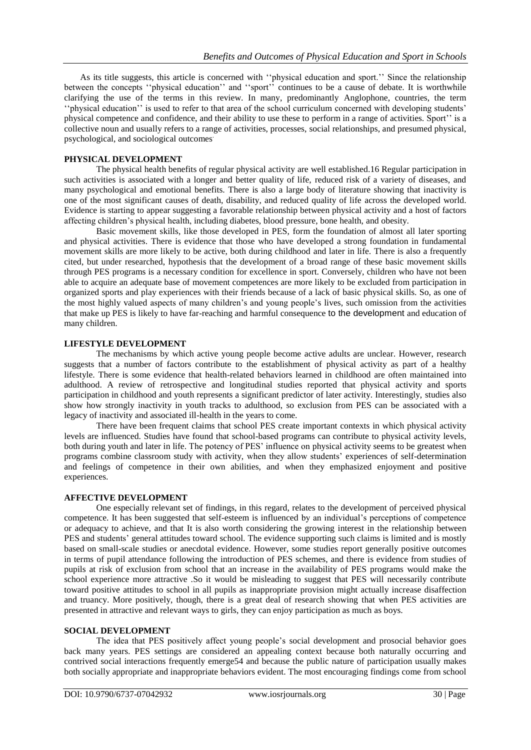As its title suggests, this article is concerned with ''physical education and sport.'' Since the relationship between the concepts ''physical education'' and ''sport'' continues to be a cause of debate. It is worthwhile clarifying the use of the terms in this review. In many, predominantly Anglophone, countries, the term ''physical education'' is used to refer to that area of the school curriculum concerned with developing students' physical competence and confidence, and their ability to use these to perform in a range of activities. Sport'' is a collective noun and usually refers to a range of activities, processes, social relationships, and presumed physical, psychological, and sociological outcomes.

## **PHYSICAL DEVELOPMENT**

The physical health benefits of regular physical activity are well established.16 Regular participation in such activities is associated with a longer and better quality of life, reduced risk of a variety of diseases, and many psychological and emotional benefits. There is also a large body of literature showing that inactivity is one of the most significant causes of death, disability, and reduced quality of life across the developed world. Evidence is starting to appear suggesting a favorable relationship between physical activity and a host of factors affecting children's physical health, including diabetes, blood pressure, bone health, and obesity.

Basic movement skills, like those developed in PES, form the foundation of almost all later sporting and physical activities. There is evidence that those who have developed a strong foundation in fundamental movement skills are more likely to be active, both during childhood and later in life. There is also a frequently cited, but under researched, hypothesis that the development of a broad range of these basic movement skills through PES programs is a necessary condition for excellence in sport. Conversely, children who have not been able to acquire an adequate base of movement competences are more likely to be excluded from participation in organized sports and play experiences with their friends because of a lack of basic physical skills. So, as one of the most highly valued aspects of many children's and young people's lives, such omission from the activities that make up PES is likely to have far-reaching and harmful consequence to the development and education of many children.

## **LIFESTYLE DEVELOPMENT**

The mechanisms by which active young people become active adults are unclear. However, research suggests that a number of factors contribute to the establishment of physical activity as part of a healthy lifestyle. There is some evidence that health-related behaviors learned in childhood are often maintained into adulthood. A review of retrospective and longitudinal studies reported that physical activity and sports participation in childhood and youth represents a significant predictor of later activity. Interestingly, studies also show how strongly inactivity in youth tracks to adulthood, so exclusion from PES can be associated with a legacy of inactivity and associated ill-health in the years to come.

There have been frequent claims that school PES create important contexts in which physical activity levels are influenced. Studies have found that school-based programs can contribute to physical activity levels, both during youth and later in life. The potency of PES' influence on physical activity seems to be greatest when programs combine classroom study with activity, when they allow students' experiences of self-determination and feelings of competence in their own abilities, and when they emphasized enjoyment and positive experiences.

## **AFFECTIVE DEVELOPMENT**

One especially relevant set of findings, in this regard, relates to the development of perceived physical competence. It has been suggested that self-esteem is influenced by an individual's perceptions of competence or adequacy to achieve, and that It is also worth considering the growing interest in the relationship between PES and students' general attitudes toward school. The evidence supporting such claims is limited and is mostly based on small-scale studies or anecdotal evidence. However, some studies report generally positive outcomes in terms of pupil attendance following the introduction of PES schemes, and there is evidence from studies of pupils at risk of exclusion from school that an increase in the availability of PES programs would make the school experience more attractive .So it would be misleading to suggest that PES will necessarily contribute toward positive attitudes to school in all pupils as inappropriate provision might actually increase disaffection and truancy. More positively, though, there is a great deal of research showing that when PES activities are presented in attractive and relevant ways to girls, they can enjoy participation as much as boys.

#### **SOCIAL DEVELOPMENT**

The idea that PES positively affect young people's social development and prosocial behavior goes back many years. PES settings are considered an appealing context because both naturally occurring and contrived social interactions frequently emerge54 and because the public nature of participation usually makes both socially appropriate and inappropriate behaviors evident. The most encouraging findings come from school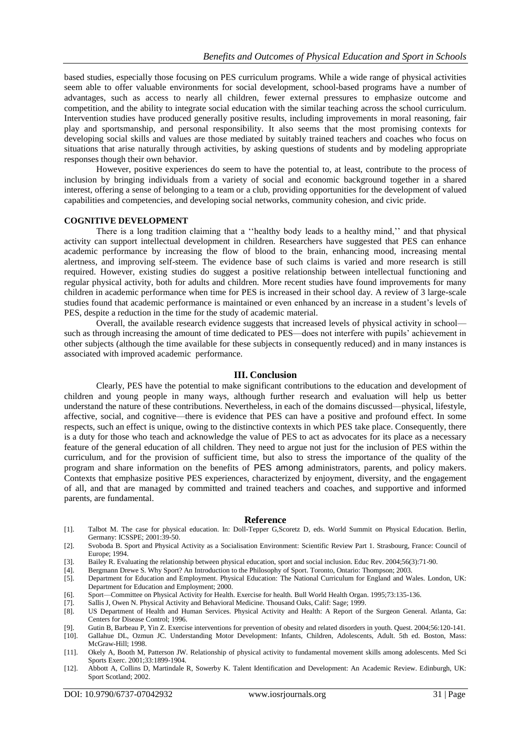based studies, especially those focusing on PES curriculum programs. While a wide range of physical activities seem able to offer valuable environments for social development, school-based programs have a number of advantages, such as access to nearly all children, fewer external pressures to emphasize outcome and competition, and the ability to integrate social education with the similar teaching across the school curriculum. Intervention studies have produced generally positive results, including improvements in moral reasoning, fair play and sportsmanship, and personal responsibility. It also seems that the most promising contexts for developing social skills and values are those mediated by suitably trained teachers and coaches who focus on situations that arise naturally through activities, by asking questions of students and by modeling appropriate responses though their own behavior.

However, positive experiences do seem to have the potential to, at least, contribute to the process of inclusion by bringing individuals from a variety of social and economic background together in a shared interest, offering a sense of belonging to a team or a club, providing opportunities for the development of valued capabilities and competencies, and developing social networks, community cohesion, and civic pride.

#### **COGNITIVE DEVELOPMENT**

There is a long tradition claiming that a ''healthy body leads to a healthy mind,'' and that physical activity can support intellectual development in children. Researchers have suggested that PES can enhance academic performance by increasing the flow of blood to the brain, enhancing mood, increasing mental alertness, and improving self-steem. The evidence base of such claims is varied and more research is still required. However, existing studies do suggest a positive relationship between intellectual functioning and regular physical activity, both for adults and children. More recent studies have found improvements for many children in academic performance when time for PES is increased in their school day. A review of 3 large-scale studies found that academic performance is maintained or even enhanced by an increase in a student's levels of PES, despite a reduction in the time for the study of academic material.

Overall, the available research evidence suggests that increased levels of physical activity in school such as through increasing the amount of time dedicated to PES—does not interfere with pupils' achievement in other subjects (although the time available for these subjects in consequently reduced) and in many instances is associated with improved academic performance.

#### **III. Conclusion**

Clearly, PES have the potential to make significant contributions to the education and development of children and young people in many ways, although further research and evaluation will help us better understand the nature of these contributions. Nevertheless, in each of the domains discussed—physical, lifestyle, affective, social, and cognitive—there is evidence that PES can have a positive and profound effect. In some respects, such an effect is unique, owing to the distinctive contexts in which PES take place. Consequently, there is a duty for those who teach and acknowledge the value of PES to act as advocates for its place as a necessary feature of the general education of all children. They need to argue not just for the inclusion of PES within the curriculum, and for the provision of sufficient time, but also to stress the importance of the quality of the program and share information on the benefits of PES among administrators, parents, and policy makers. Contexts that emphasize positive PES experiences, characterized by enjoyment, diversity, and the engagement of all, and that are managed by committed and trained teachers and coaches, and supportive and informed parents, are fundamental.

#### **Reference**

- [1]. Talbot M. The case for physical education. In: Doll-Tepper G,Scoretz D, eds. World Summit on Physical Education. Berlin, Germany: ICSSPE; 2001:39-50.
- [2]. Svoboda B. Sport and Physical Activity as a Socialisation Environment: Scientific Review Part 1. Strasbourg, France: Council of Europe; 1994.
- [3]. Bailey R. Evaluating the relationship between physical education, sport and social inclusion. Educ Rev. 2004;56(3):71-90.
- [4]. Bergmann Drewe S. Why Sport? An Introduction to the Philosophy of Sport. Toronto, Ontario: Thompson; 2003.
- [5]. Department for Education and Employment. Physical Education: The National Curriculum for England and Wales. London, UK: Department for Education and Employment; 2000.
- [6]. Sport—Committee on Physical Activity for Health. Exercise for health. Bull World Health Organ. 1995;73:135-136.
- [7]. Sallis J, Owen N. Physical Activity and Behavioral Medicine. Thousand Oaks, Calif: Sage; 1999.
- [8]. US Department of Health and Human Services. Physical Activity and Health: A Report of the Surgeon General. Atlanta, Ga: Centers for Disease Control; 1996.
- [9]. Gutin B, Barbeau P, Yin Z. Exercise interventions for prevention of obesity and related disorders in youth. Quest. 2004;56:120-141.
- [10]. Gallahue DL, Ozmun JC. Understanding Motor Development: Infants, Children, Adolescents, Adult. 5th ed. Boston, Mass: McGraw-Hill; 1998.
- [11]. Okely A, Booth M, Patterson JW. Relationship of physical activity to fundamental movement skills among adolescents. Med Sci Sports Exerc. 2001;33:1899-1904.
- [12]. Abbott A, Collins D, Martindale R, Sowerby K. Talent Identification and Development: An Academic Review. Edinburgh, UK: Sport Scotland; 2002.